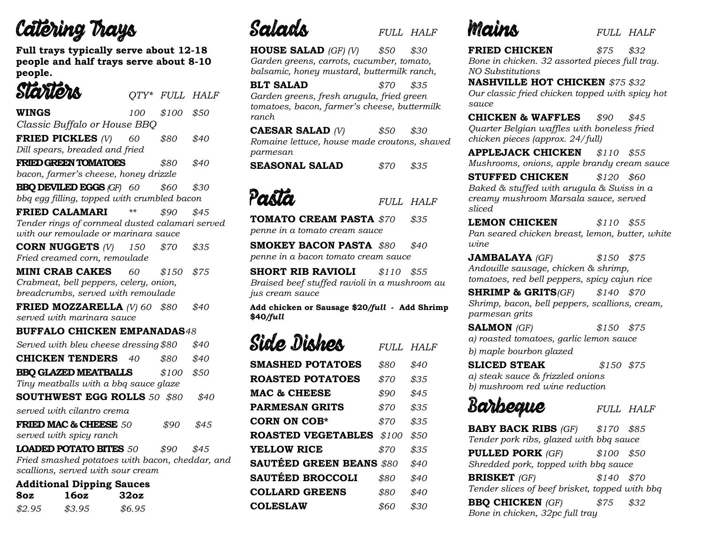# Catering Trays

**Full trays typically serve about 12-18 people and half trays serve about 8-10 people.**

| Slariors                                                                             | $QTY^*$ | <b>FULL HALF</b> |      |
|--------------------------------------------------------------------------------------|---------|------------------|------|
| WINGS                                                                                | 100     | \$100            | \$50 |
| Classic Buffalo or House BBQ                                                         |         |                  |      |
| FRIED PICKLES $(V)$                                                                  | 60      | \$80             | \$40 |
| Dill spears, breaded and fried                                                       |         |                  |      |
| <b>FRIED GREEN TOMATOES</b>                                                          |         | \$80             | \$40 |
| bacon, farmer's cheese, honey drizzle                                                |         |                  |      |
| <b>BBQ DEVILED EGGS (GF) 60</b>                                                      |         | \$60             | \$30 |
| bbq egg filling, topped with crumbled bacon                                          |         |                  |      |
| <b>FRIED CALAMARI</b>                                                                | $***$   | \$90             | \$45 |
| Tender rings of cornmeal dusted calamari served                                      |         |                  |      |
| with our remoulade or marinara sauce                                                 |         |                  |      |
| <b>CORN NUGGETS</b> $(V)$ 150                                                        |         | \$70             | \$35 |
| Fried creamed corn, remoulade                                                        |         |                  |      |
| <b>MINI CRAB CAKES</b>                                                               | 60      | \$150            | \$75 |
| Crabmeat, bell peppers, celery, onion,                                               |         |                  |      |
| breadcrumbs, served with remoulade                                                   |         |                  |      |
| <b>FRIED MOZZARELLA</b> (V) 60 $$80$                                                 |         |                  | \$40 |
| served with marinara sauce                                                           |         |                  |      |
| <b>BUFFALO CHICKEN EMPANADAS48</b>                                                   |         |                  |      |
| Served with bleu cheese dressing \$80                                                |         |                  | \$40 |
| <b>CHICKEN TENDERS</b>                                                               | 40      | \$80             | \$40 |
| <b>BBQ GLAZED MEATBALLS</b>                                                          |         | \$100            | \$50 |
| Tiny meatballs with a bbq sauce glaze                                                |         |                  |      |
| <b>SOUTHWEST EGG ROLLS 50 \$80</b>                                                   |         |                  | \$40 |
| served with cilantro crema                                                           |         |                  |      |
| <b>FRIED MAC &amp; CHEESE 50</b>                                                     |         | \$90             | \$45 |
| served with spicy ranch                                                              |         |                  |      |
| <b>LOADED POTATO BITES <math>50</math></b>                                           |         | \$90             | \$45 |
| Fried smashed potatoes with bacon, cheddar, and<br>scallions, served with sour cream |         |                  |      |

| <b>Additional Dipping Sauces</b> |  |
|----------------------------------|--|
|                                  |  |

| 8oz    | 16oz   | 32oz   |
|--------|--------|--------|
| \$2.95 | \$3.95 | \$6.95 |

*FULL HALF*

**HOUSE SALAD** *(GF) (V) \$50 \$30 Garden greens, carrots, cucumber, tomato, balsamic, honey mustard, buttermilk ranch,* 

**BLT SALAD** *\$70 \$35 Garden greens, fresh arugula, fried green tomatoes, bacon, farmer's cheese, buttermilk ranch* 

**CAESAR SALAD** *(V) \$50 \$30 Romaine lettuce, house made croutons, shaved parmesan*

**SEASONAL SALAD** *\$70 \$35*

# Porto

*FULL HALF*

**TOMATO CREAM PASTA** *\$70 \$35 penne in a tomato cream sauce*

**SMOKEY BACON PASTA** *\$80 \$40 penne in a bacon tomato cream sauce* 

**SHORT RIB RAVIOLI** *\$110 \$55 Braised beef stuffed ravioli in a mushroom au jus cream sauce*

**Add chicken or Sausage \$20***/full* **- Add Shrimp \$40***/full*

| Sid <i>e</i> Dishes             | FULL. | <i>HALF</i> |
|---------------------------------|-------|-------------|
| <b>SMASHED POTATOES</b>         | \$80  | \$40        |
| <b>ROASTED POTATOES</b>         | \$70  | \$35        |
| <b>MAC &amp; CHEESE</b>         | \$90  | \$45        |
| <b>PARMESAN GRITS</b>           | \$70  | \$35        |
| <b>CORN ON COB*</b>             | \$70  | \$35        |
| <b>ROASTED VEGETABLES</b>       | \$100 | \$50        |
| <b>YELLOW RICE</b>              | \$70  | \$35        |
| <b>SAUTÉED GREEN BEANS \$80</b> |       | \$40        |
| <b>SAUTÉED BROCCOLI</b>         | \$80  | \$40        |
| <b>COLLARD GREENS</b>           | \$80  | \$40        |
| <b>COLESLAW</b>                 | \$60  | \$30        |

### *FULL HALF*

**FRIED CHICKEN** *\$75 \$32 Bone in chicken. 32 assorted pieces full tray. NO Substitutions*

**NASHVILLE HOT CHICKEN** *\$75 \$32 Our classic fried chicken topped with spicy hot sauce* 

**CHICKEN & WAFFLES** *\$90 \$45 Quarter Belgian waffles with boneless fried chicken pieces (approx. 24/full)*

**APPLEJACK CHICKEN** *\$110 \$55 Mushrooms, onions, apple brandy cream sauce*

**STUFFED CHICKEN** *\$120 \$60 Baked & stuffed with arugula & Swiss in a creamy mushroom Marsala sauce, served sliced* 

**LEMON CHICKEN** *\$110 \$55 Pan seared chicken breast, lemon, butter, white wine* 

**JAMBALAYA** *(GF) \$150 \$75 Andouille sausage, chicken & shrimp, tomatoes, red bell peppers, spicy cajun rice*

**SHRIMP & GRITS***(GF) \$140 \$70 Shrimp, bacon, bell peppers, scallions, cream, parmesan grits*

**SALMON** *(GF) \$150 \$75 a) roasted tomatoes, garlic lemon sauce b) maple bourbon glazed*

**SLICED STEAK** *\$150 \$75 a) steak sauce & frizzled onions b) mushroom red wine reduction*

## Barbeque

### *FULL HALF*

**BABY BACK RIBS** *(GF) \$170 \$85 Tender pork ribs, glazed with bbq sauce* **PULLED PORK** *(GF) \$100 \$50 Shredded pork, topped with bbq sauce* **BRISKET** *(GF) \$140 \$70 Tender slices of beef brisket, topped with bbq* **BBQ CHICKEN** *(GF) \$75 \$32 Bone in chicken, 32pc full tray*